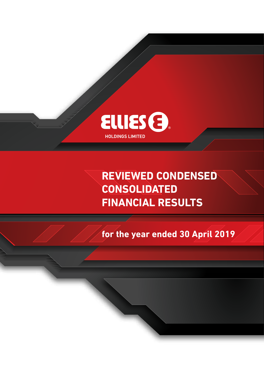

**REVIEWED CONDENSED CONSOLIDATED FINANCIAL RESULTS**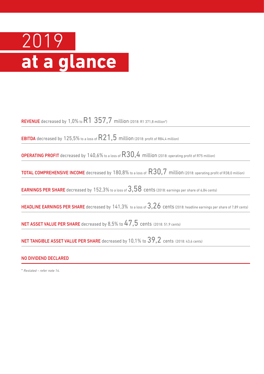# 2019 **at a glance**

REVENUE decreased by 1,0% to  $R1$   $357,7$  million (2018: R1 371,8 million\*)

**EBITDA** decreased by 125,5% to a loss of  $R21,5$  million (2018: profit of R84,4 million)

**OPERATING PROFIT** decreased by  $140,6\%$  to a loss of  $R30,4$  million (2018: operating profit of R75 million)

TOTAL COMPREHENSIVE INCOME decreased by 180,8% to a loss of R30,7 million (2018: operating profit of R38,0 million)

EARNINGS PER SHARE decreased by 152,3% to a loss of 3,58 cents (2018: earnings per share of 6,84 cents)

HEADLINE EARNINGS PER SHARE decreased by 141,3% to a loss of 3,26 cents (2018: headline earnings per share of 7,89 cents)

NET ASSET VALUE PER SHARE decreased by 8,5% to 47,5 cents (2018: 51,9 cents)

NET TANGIBLE ASSET VALUE PER SHARE decreased by 10,1% to 39,2 cents (2018: 43,6 cents)

### NO DIVIDEND DECLARED

\* *Restated – refer note 14.*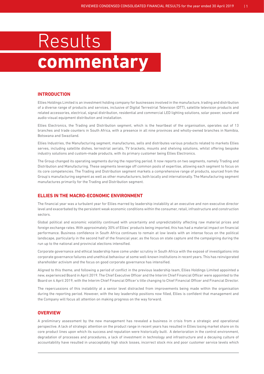# Results **commentary**

### **INTRODUCTION**

Ellies Holdings Limited is an investment holding company for businesses involved in the manufacture, trading and distribution of a diverse range of products and services, inclusive of Digital Terrestrial Television (DTT), satellite television products and related accessories, electrical, signal distribution, residential and commercial LED lighting solutions, solar power, sound and audio-visual equipment distribution and installation.

Ellies Electronics, the Trading and Distribution segment, which is the heartbeat of the organisation, operates out of 13 branches and trade counters in South Africa, with a presence in all nine provinces and wholly-owned branches in Namibia, Botswana and Swaziland.

Ellies Industries, the Manufacturing segment, manufactures, sells and distributes various products related to markets Ellies serves, including satellite dishes, terrestrial aerials, TV brackets, mounts and shelving solutions, whilst offering bespoke industry solutions and custom-made products, with its primary customer being Ellies Electronics.

The Group changed its operating segments during the reporting period. It now reports on two segments, namely Trading and Distribution and Manufacturing. These segments leverage off common pools of expertise, allowing each segment to focus on its core competencies. The Trading and Distribution segment markets a comprehensive range of products, sourced from the Group's manufacturing segment as well as other manufacturers, both locally and internationally. The Manufacturing segment manufactures primarily for the Trading and Distribution segment.

### **ELLIES IN THE MACRO-ECONOMIC ENVIRONMENT**

The financial year was a turbulent year for Ellies marred by leadership instability at an executive and non-executive director level and exacerbated by the persistent weak economic conditions within the consumer, retail, infrastructure and construction sectors.

Global political and economic volatility continued with uncertainty and unpredictability affecting raw material prices and foreign exchange rates. With approximately 30% of Ellies' products being imported, this has had a material impact on financial performance. Business confidence in South Africa continues to remain at low levels with an intense focus on the political landscape, particularly in the second half of the financial year, as the focus on state capture and the campaigning during the run up to the national and provincial elections intensified.

Corporate governance and ethical leadership have come under scrutiny in South Africa with the exposé of investigations into corporate governance failures and unethical behaviour at some well-known institutions in recent years. This has reinvigorated shareholder activism and the focus on good corporate governance has intensified.

Aligned to this theme, and following a period of conflict in the previous leadership team, Ellies Holdings Limited appointed a new, experienced Board in April 2019. The Chief Executive Officer and the Interim Chief Financial Officer were appointed to the Board on 4 April 2019, with the Interim Chief Financial Officer's title changing to Chief Financial Officer and Financial Director.

The repercussions of this instability at a senior level distracted from improvements being made within the organisation during the reporting period. However, with the key leadership positions now filled, Ellies is confident that management and the Company will focus all attention on making progress on the way forward.

### **OVERVIEW**

A preliminary assessment by the new management has revealed a business in crisis from a strategic and operational perspective. A lack of strategic attention on the product range in recent years has resulted in Ellies losing market share on its core product lines upon which its success and reputation were historically built. A deterioration in the control environment, degradation of processes and procedures, a lack of investment in technology and infrastructure and a decaying culture of accountability have resulted in unacceptably high stock losses, incorrect stock mix and poor customer service levels which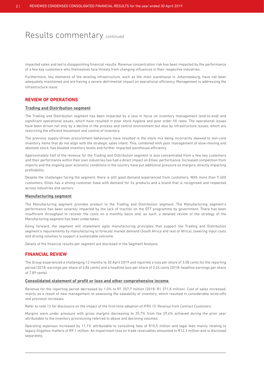impacted sales and led to disappointing financial results. Revenue concentration risk has been impacted by the performance of a few key customers who themselves face threats from changing influences in their respective industries.

Furthermore, key elements of the existing infrastructure, such as the main warehouse in Johannesburg, have not been adequately maintained and are having a severe detrimental impact on operational efficiency. Management is addressing the infrastructure issue.

### **REVIEW OF OPERATIONS**

#### **Trading and Distribution segment**

The Trading and Distribution segment has been impacted by a loss in focus on inventory management (end-to-end) and significant operational issues, which have resulted in poor stock hygiene and poor order fill rates. The operational issues have been driven not only by a decline in the process and control environment but also by infrastructure issues, which are restricting the efficient movement and control of inventory.

The previous supply-driven procurement behaviours have resulted in the stock mix being incorrectly skewed to non-core inventory items that do not align with the strategic sales intent. This, combined with poor management of slow-moving and obsolete stock, has bloated inventory levels and further impacted warehouse efficiency.

Approximately half of the revenue for the Trading and Distribution segment is also concentrated from a few key customers and their performance within their own industries has had a direct impact on Ellies' performance. Increased competition from imports and the ongoing poor economic conditions in the country have put additional pressure on margins, directly impacting profitability.

Despite the challenges facing the segment, there is still good demand experienced from customers. With more than 9 600 customers, Ellies has a strong customer base with demand for its products and a brand that is recognised and respected across industries and sectors.

### **Manufacturing segment**

The Manufacturing segment provides product to the Trading and Distribution segment. The Manufacturing segment's performance has been severely impacted by the lack of traction on the DTT programme by government. There has been insufficient throughput to recover the costs on a monthly basis and, as such, a detailed review of the strategy of the Manufacturing segment has been undertaken.

Going forward, the segment will implement agile manufacturing principles that support the Trading and Distribution segment's requirements by manufacturing to forecast market demand (South Africa and rest of Africa), lowering input costs and driving volumes to support a sustainable outcome.

Details of the financial results per segment are disclosed in the Segment Analysis.

### **FINANCIAL REVIEW**

The Group experienced a challenging 12 months to 30 April 2019 and reported a loss per share of 3,58 cents for the reporting period (2018: earnings per share of 6,84 cents) and a headline loss per share of 3,26 cents (2018: headline earnings per share of 7,89 cents).

### **Consolidated statement of profit or loss and other comprehensive income**

Revenue for the reporting period decreased by 1,0% to R1 357,7 million (2018: R1 371,8 million). Cost of sales increased, mainly as a result of new management re-assessing the saleability of inventory, which resulted in considerable write-offs and provision increases.

Refer to note 12 for disclosure on the impact of the first-time adoption of *IFRS 15: Revenue from Contract Customers.*

Margins were under pressure with gross margins decreasing to 25,7% from the 29,4% achieved during the prior year attributable to the inventory provisioning referred to above and declining volumes.

Operating expenses increased by 11,1% attributable to consulting fees of R10,5 million and legal fees mainly relating to legacy litigation matters of R9,1 million. An impairment loss on trade receivables amounted to R12,3 million and is disclosed separately.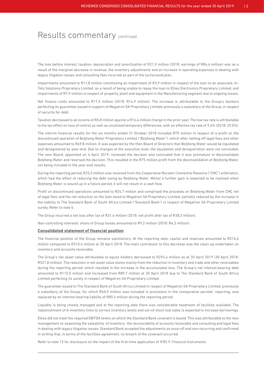The loss before interest, taxation, depreciation and amortisation of R21,5 million (2018: earnings of R84,4 million) was as a result of the marginal decrease in revenue, the inventory adjustments and an increase in operating expenses in dealing with legacy litigation issues and consulting fees incurred as part of the turnaround plan.

Impairments amounted to R11,8 million constituting an impairment of R3,9 million in respect of the loan to an associate, In-Toto Solutions Proprietary Limited, as a result of being unable to repay the loan to Ellies Electronics Proprietary Limited; and impairments of R7,9 million in respect of property, plant and equipment in the Manufacturing segment due to ongoing losses.

Net finance costs amounted to R17,5 million (2018: R14,9 million). The increase is attributable to the Group's bankers perfecting its guarantee issued in support of Megatron SA Proprietary Limited, previously a subsidiary of the Group, in respect of security for debt.

Taxation decreased to an income of R5,8 million against a R16,4 million charge in the prior year. The low tax rate is attributable to the tax effect on loss of control as well as unutilised temporary differences, with an effective tax rate of 9,4% (2018: 29,5%).

The interim financial results for the six months ended 31 October 2018 included R75 million in respect of a profit on the discontinued operation of Botjheng Water Proprietary Limited ("Botjheng Water"), which after netting off legal fees and other expenses amounted to R69,8 million. It was expected by the then Board of Directors that Botjheng Water would be liquidated and deregistered by year-end. Due to changes at the executive level, the liquidation and deregistration were not concluded. The new Board, appointed on 4 April 2019, reviewed the decision and concluded that it was premature to deconsolidate Botjheng Water and reversed the decision. This resulted in the R75 million profit from the deconsolidation of Botjheng Water, not being included in the year-end results.

During the reporting period, R33,3 million was received from the Cooperative Muratori Cementisi Ravenna ("CMC") arbitration, which had the effect of reducing the debt owing by Botjheng Water. Whilst a further gain is expected to be realised when Botjheng Water is wound up in a future period, it will not result in a cash flow.

Profit on discontinued operations amounted to R24,7 million and comprised the proceeds on Botjheng Water from CMC net of legal fees and the net reduction on the loan owed to Megatron SA Proprietary Limited, partially reduced by the increase in the liability to The Standard Bank of South Africa Limited ("Standard Bank") in respect of Megatron SA Proprietary Limited surety. Refer to note 6.

The Group incurred a net loss after tax of R31,4 million (2018: net profit after tax of R38,3 million).

Non-controlling interests' share of Group losses amounted to R9,2 million (2018: R4,2 million).

### **Consolidated statement of financial position**

The financial position of the Group remains satisfactory. At the reporting date, capital and reserves amounted to R274,6 million compared to R310,4 million at 30 April 2018. The main contributor to this decrease was the clean-up undertaken on inventory and accounts receivable.

The Group's net asset value attributable to equity holders decreased to R294,4 million as at 30 April 2019 (30 April 2018: R321,8 million). The reduction in net asset value stems mainly from the reduction in inventory and trade and other receivables during the reporting period, which resulted in the increase in the accumulated loss. The Group's net interest-bearing debt amounted to R115,5 million and increased from R89,7 million at 30 April 2018 due to The Standard Bank of South Africa Limited perfecting its surety in respect of Megatron SA Proprietary Limited.

The guarantee issued to The Standard Bank of South Africa Limited in respect of Megatron SA Proprietary Limited, previously a subsidiary of the Group, for which R65,5 million was included in provisions in the comparative periods' reporting, was replaced by an interest-bearing liability of R89,4 million during the reporting period.

Liquidity is being closely managed and at the reporting date there was considerable headroom of facilities available. The replenishment of A-inventory lines to correct inventory levels and out-of-stock lost sales is expected to increase borrowings.

Ellies did not meet the required EBITDA levels on which the Standard Bank covenant is based. This was attributable to the new management re-assessing the saleability of inventory, the recoverability of accounts receivable and consulting and legal fees in dealing with legacy litigation issues. Standard Bank accepted the adjustments as once-off and non-recurring and confirmed in writing that, in terms of the facilities agreement, no breach of the covenant occurred.

Refer to note 12 for disclosure on the impact of the first-time application of *IFRS 9: Financial Instruments.*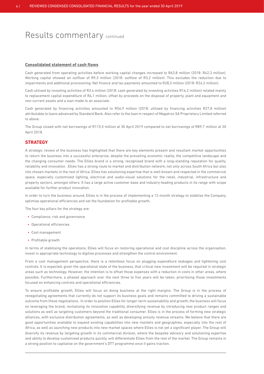#### **Consolidated statement of cash flows**

Cash generated from operating activities before working capital changes increased to R63,8 million (2018: R42,3 million). Working capital showed an outflow of R9,3 million (2018: outflow of R3,2 million). This excludes the reduction due to impairments and additional provisioning. Net finance and tax payments amounted to R28,3 million (2018: R24,2 million).

Cash utilised by investing activities of R3,4 million (2018: cash generated by investing activities R16,2 million) related mainly to replacement capital expenditure of R4,1 million, offset by proceeds on the disposal of property, plant and equipment and non-current assets and a loan made to an associate.

Cash generated by financing activities amounted to R56,9 million (2018: utilised by financing activities R27,8 million) attributable to loans advanced by Standard Bank. Also refer to the loan in respect of Megatron SA Proprietary Limited referred to above.

The Group closed with net borrowings of R115,5 million at 30 April 2019 compared to net borrowings of R89,7 million at 30 April 2018.

### **STRATEGY**

A strategic review of the business has highlighted that there are key elements present and resultant market opportunities to return the business into a successful enterprise, despite the prevailing economic reality, the competitive landscape and the changing consumer needs. The Ellies brand is a strong, recognised brand with a long-standing reputation for quality, reliability and innovation. Ellies has a strong route to market and distribution network, not only across South Africa but also into chosen markets in the rest of Africa. Ellies has solutioning expertise that is well-known and respected in the commercial space, especially customised lighting, electrical and audio-visual solutions for the retail, industrial, infrastructure and property sectors, amongst others. It has a large active customer base and industry-leading products in its range with scope available for further product innovation.

In order to turn the business around, Ellies is in the process of implementing a 12-month strategy to stabilise the Company, optimise operational efficiencies and set the foundation for profitable growth.

The four key pillars for the strategy are:

- Compliance, risk and governance
- Operational efficiencies
- Cost management
- Profitable growth

In terms of stabilising the operations, Ellies will focus on restoring operational and cost discipline across the organisation, invest in appropriate technology to digitise processes and strengthen the control environment.

From a cost management perspective, there is a relentless focus on plugging expenditure leakages and tightening cost controls. It is expected, given the operational state of the business, that critical new investment will be required in strategic areas such as technology. However, the intention is to offset those expenses with a reduction in costs in other areas, where possible. Furthermore, a phased approach over the next three to five years will be taken, prioritising those investments focused on enhancing controls and operational efficiencies.

To ensure profitable growth, Ellies will focus on doing business at the right margins. The Group is in the process of renegotiating agreements that currently do not support its business goals and remains committed to driving a sustainable outcome from these negotiations. In order to position Ellies for longer-term sustainability and growth, the business will focus on leveraging the brand, revitalising its innovation capability, diversifying revenue by introducing new product ranges and solutions as well as targeting customers beyond the traditional consumer. Ellies is in the process of forming new strategic alliances, with exclusive distribution agreements, as well as developing annuity revenue streams. We believe that there are good opportunities available to expand existing capabilities into new markets and geographies, especially into the rest of Africa, as well as launching new products into new market spaces where Ellies is not yet a significant player. The Group will diversify its revenue by targeting growth in its commercial division, where the bespoke advisory and solutioning expertise and ability to develop customised products quickly, will differentiate Ellies from the rest of the market. The Group remains in a strong position to capitalise on the government's DTT programme once it gains traction.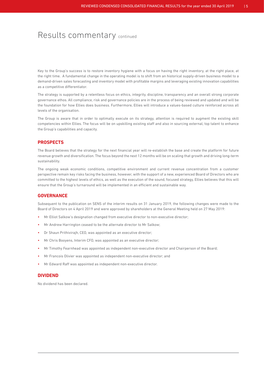Key to the Group's success is to restore inventory hygiene with a focus on having the right inventory, at the right place, at the right time. A fundamental change in the operating model is to shift from an historical supply-driven business model to a demand-driven sales forecasting and inventory model with profitable margins and leveraging existing innovation capabilities as a competitive differentiator.

The strategy is supported by a relentless focus on ethics, integrity, discipline, transparency and an overall strong corporate governance ethos. All compliance, risk and governance policies are in the process of being reviewed and updated and will be the foundation for how Ellies does business. Furthermore, Ellies will introduce a values-based culture reinforced across all levels of the organisation.

The Group is aware that in order to optimally execute on its strategy, attention is required to augment the existing skill competencies within Ellies. The focus will be on upskilling existing staff and also in sourcing external, top talent to enhance the Group's capabilities and capacity.

### **PROSPECTS**

The Board believes that the strategy for the next financial year will re-establish the base and create the platform for future revenue growth and diversification. The focus beyond the next 12 months will be on scaling that growth and driving long-term sustainability.

The ongoing weak economic conditions, competitive environment and current revenue concentration from a customer perspective remain key risks facing the business, however, with the support of a new, experienced Board of Directors who are committed to the highest levels of ethics, as well as the execution of the sound, focused strategy, Ellies believes that this will ensure that the Group's turnaround will be implemented in an efficient and sustainable way.

### **GOVERNANCE**

Subsequent to the publication on SENS of the interim results on 31 January 2019, the following changes were made to the Board of Directors on 4 April 2019 and were approved by shareholders at the General Meeting held on 27 May 2019:

- Mr Elliot Salkow's designation changed from executive director to non-executive director;
- Mr Andrew Harrington ceased to be the alternate director to Mr Salkow;
- Dr Shaun Prithivirajh, CEO, was appointed as an executive director;
- Mr Chris Booyens, Interim CFO, was appointed as an executive director;
- Mr Timothy Fearnhead was appointed as independent non-executive director and Chairperson of the Board;
- Mr Francois Olivier was appointed as independent non-executive director; and
- Mr Edward Raff was appointed as independent non-executive director.

### **DIVIDEND**

No dividend has been declared.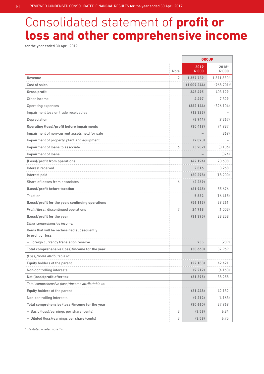# Consolidated statement of **profit or loss and other comprehensive income**

for the year ended 30 April 2019

|                                                                   |                | <b>GROUP</b>         |                       |  |
|-------------------------------------------------------------------|----------------|----------------------|-----------------------|--|
|                                                                   | Note           | 2019<br><b>R'000</b> | 2018*<br><b>R'000</b> |  |
| <b>Revenue</b>                                                    | $\overline{2}$ | 1 357 739            | 1 371 830*            |  |
| Cost of sales                                                     |                | (1009244)            | $(968701)^*$          |  |
| <b>Gross profit</b>                                               |                | 348 495              | 403 129               |  |
| Other income                                                      |                | 4 497                | 7329                  |  |
| Operating expenses                                                |                | (362144)             | (326 104)             |  |
| Impairment loss on trade receivables                              |                | (12 323)             |                       |  |
| Depreciation                                                      |                | (8944)               | (9, 367)              |  |
| <b>Operating (loss)/profit before impairments</b>                 |                | (30, 419)            | 74 987                |  |
| Impairment of non-current assets held for sale                    |                |                      | (869)                 |  |
| Impairment of property, plant and equipment                       |                | (7 873)              |                       |  |
| Impairment of loans to associate                                  | 6              | (3902)               | (3136)                |  |
| Impairment of loans                                               |                |                      | (374)                 |  |
| (Loss)/profit from operations                                     |                | (42194)              | 70 608                |  |
| Interest received                                                 |                | 2816<br>.            | 3 2 6 8               |  |
| Interest paid                                                     |                | (20298)              | (18200)               |  |
| Share of losses from associates                                   | 6              | (2269)               |                       |  |
| (Loss)/profit before taxation                                     |                | (61945)              | 55 676                |  |
| <b>Taxation</b>                                                   |                | 5832                 | (16415)               |  |
| (Loss)/profit for the year: continuing operations                 |                | (56113)              | 39 261                |  |
| Profit/(loss): discontinued operations                            | 7              | 24718                | (1003)                |  |
| (Loss)/profit for the year                                        |                | (31 395)             | 38 258                |  |
| Other comprehensive income:                                       |                |                      |                       |  |
| Items that will be reclassified subsequently<br>to profit or loss |                |                      |                       |  |
| - Foreign currency translation reserve                            |                | 735                  | (289)                 |  |
| Total comprehensive (loss)/income for the year                    |                | (30660)              | 37969                 |  |
| (Loss)/profit attributable to:                                    |                |                      |                       |  |
| Equity holders of the parent                                      |                | (22 183)             | 42 421                |  |
| Non-controlling interests                                         |                | (9212)               | (4163)                |  |
| Net (loss)/profit after tax                                       |                | (31395)              | 38 258                |  |
| Total comprehensive (loss)/income attributable to:                |                |                      |                       |  |
| Equity holders of the parent                                      |                | (21 448)             | 42 132                |  |
| Non-controlling interests                                         |                | (9212)               | (4163)                |  |
| Total comprehensive (loss)/income for the year                    |                | (30 660)             | 37969                 |  |
| - Basic (loss)/earnings per share (cents)                         | 3              | (3,58)               | 6,84                  |  |
| - Diluted (loss)/earnings per share (cents)                       | 3              | (3,58)               | 6,75                  |  |

\* *Restated – refer note 14.*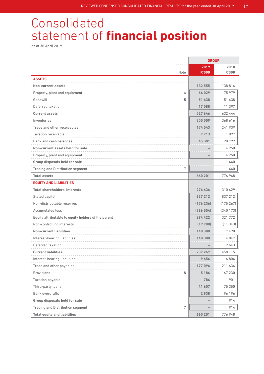# Consolidated statement of **financial position**

as at 30 April 2019

|                                                     |      |                      | <b>GROUP</b>         |  |
|-----------------------------------------------------|------|----------------------|----------------------|--|
|                                                     | Note | 2019<br><b>R'000</b> | 2018<br><b>R'000</b> |  |
| <b>ASSETS</b>                                       |      |                      |                      |  |
| <b>Non-current assets</b>                           |      | 132 555              | 138814               |  |
| Property, plant and equipment                       | 4    | 64029                | 75 979               |  |
| Goodwill                                            | 5    | 51 438<br>.          | 51 438               |  |
| Deferred taxation                                   |      | 17088                | 11 397               |  |
| <b>Current assets</b>                               |      | 527 646              | 632 444              |  |
| Inventories                                         |      | 300 009              | 368 616              |  |
| Trade and other receivables                         |      | 174543               | 241 939              |  |
| <b>Taxation receivable</b>                          |      | 7 713                | 1097                 |  |
| Bank and cash balances                              |      | 45 381               | 20792                |  |
| Non-current assets held for sale                    |      |                      | 4250                 |  |
| Property, plant and equipment                       |      |                      | 4 2 5 0              |  |
| Group disposals held for sale                       |      |                      | 1440                 |  |
| Trading and Distribution segment                    | 7    |                      | 1440                 |  |
| <b>Total assets</b>                                 |      | 660 201              | 776948               |  |
| <b>EQUITY AND LIABILITIES</b>                       |      |                      |                      |  |
| <b>Total shareholders' interests</b>                |      | 274 634              | 310429               |  |
| Stated capital                                      |      | 837 212              | 837 212              |  |
| Non-distributable reserves                          |      | (176236)             | (175267)             |  |
| <b>Accumulated loss</b>                             |      | (366554)             | (340173)             |  |
| Equity attributable to equity holders of the parent |      | 294 422              | 321 772              |  |
| Non-controlling interests                           |      | (19788)              | (11343)              |  |
| <b>Non-current liabilities</b>                      |      | 148 300              | 7490                 |  |
| Interest-bearing liabilities                        |      | 148 300              | 4847                 |  |
| Deferred taxation                                   |      |                      | 2643                 |  |
| <b>Current liabilities</b>                          |      | 237 267              | 458 115              |  |
| Interest-bearing liabilities                        |      | 9656                 | 6804                 |  |
| Trade and other payables                            |      | 177 094              | 211 634              |  |
| Provisions                                          | 8    | 5186                 | 67 230               |  |
| Taxation payable                                    |      | 786                  | 901                  |  |
| Third-party loans                                   |      | 41 607               | 75 350               |  |
| <b>Bank overdrafts</b>                              |      | 2938                 | 96 196               |  |
| Group disposals held for sale                       |      |                      | 914                  |  |
| Trading and Distribution segment                    | 7    |                      | 914                  |  |
| <b>Total equity and liabilities</b>                 |      | 660 201              | 776 948              |  |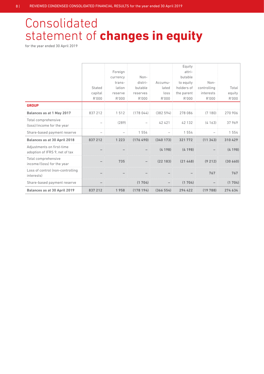# Consolidated statement of **changes in equity**

|                                                             |         |          |          |          | Equity     |             |          |
|-------------------------------------------------------------|---------|----------|----------|----------|------------|-------------|----------|
|                                                             |         | Foreign  |          |          | attri-     |             |          |
|                                                             |         | currency | Non-     |          | butable    |             |          |
|                                                             |         | trans-   | distri-  | Accumu-  | to equity  | Non-        |          |
|                                                             | Stated  | lation   | butable  | lated    | holders of | controlling | Total    |
|                                                             | capital | reserve  | reserves | loss     | the parent | interests   | equity   |
|                                                             | R'000   | R'000    | R'000    | R'000    | R'000      | R'000       | R'000    |
| <b>GROUP</b>                                                |         |          |          |          |            |             |          |
| Balances as at 1 May 2017                                   | 837 212 | 1512     | (178044) | (382594) | 278 086    | (7180)      | 270 906  |
| Total comprehensive<br>(loss)/income for the year           |         | (289)    |          | 42 4 21  | 42 132     | (4163)      | 37969    |
| Share-based payment reserve                                 |         |          | 1 5 5 4  |          | 1 5 5 4    |             | 1 5 5 4  |
| <b>Balances as at 30 April 2018</b>                         | 837 212 | 1 2 2 3  | (176490) | (340173) | 321 772    | (11343)     | 310 429  |
| Adjustments on first-time<br>adoption of IFRS 9, net of tax |         |          |          | (4198)   | (4198)     |             | (4198)   |
| Total comprehensive<br>income/(loss) for the year           |         | 735      |          | (22183)  | (21448)    | (9212)      | (30 660) |
| Loss of control (non-controlling<br>interests)              |         |          |          |          |            | 767         | 767      |
| Share-based payment reserve                                 |         |          | (1704)   |          | (1704)     |             | (1704)   |
| <b>Balances as at 30 April 2019</b>                         | 837 212 | 1958     | (178194) | (366554) | 294 422    | (19788)     | 274 634  |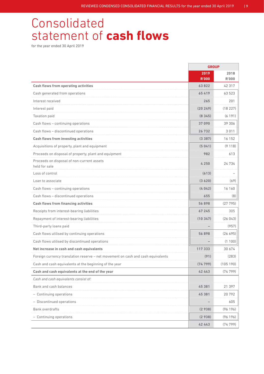# Consolidated statement of **cash flows**

|                                                                                  | <b>GROUP</b>         |                      |
|----------------------------------------------------------------------------------|----------------------|----------------------|
|                                                                                  | 2019<br><b>R'000</b> | 2018<br><b>R'000</b> |
| <b>Cash flows from operating activities</b>                                      | 63822                | 42 317               |
| Cash generated from operations                                                   | 65419                | 63 523               |
| Interest received                                                                | 265                  | 201                  |
| Interest paid                                                                    | (20249)              | (18227)              |
| Taxation paid                                                                    | (8345)               | (6191)               |
| Cash flows - continuing operations                                               | 37090                | 39 306               |
| Cash flows - discontinued operations                                             | 26732                | 3 0 1 1              |
| <b>Cash flows from investing activities</b>                                      | (3387)               | 16 152               |
| Acquisitions of property, plant and equipment                                    | (5041)               | (9118)               |
| Proceeds on disposal of property, plant and equipment                            | 982                  | 613                  |
| Proceeds on disposal of non-current assets<br>held for sale                      | 4250                 | 24734                |
| Loss of control                                                                  | (613)                |                      |
| Loan to associate                                                                | (3620)               | (69)                 |
| Cash flows - continuing operations                                               | (4042)               | 16 160               |
| Cash flows - discontinued operations                                             | 655                  | (8)                  |
| <b>Cash flows from financing activities</b>                                      | 56898                | (27795)              |
| Receipts from interest-bearing liabilities                                       | 67 245               | 305                  |
| Repayment of interest-bearing liabilities                                        | (10347)              | (26043)              |
| Third-party loans paid                                                           |                      | (957)                |
| Cash flows utilised by continuing operations                                     | 56898                | (26695)              |
| Cash flows utilised by discontinued operations                                   |                      | (1100)               |
| Net increase in cash and cash equivalents                                        | 117333               | 30 674               |
| Foreign currency translation reserve - net movement on cash and cash equivalents | (91)                 | (283)                |
| Cash and cash equivalents at the beginning of the year                           | (74799)              | (105190)             |
| Cash and cash equivalents at the end of the year                                 | 42 443               | (74799)              |
| Cash and cash equivalents consist of:                                            |                      |                      |
| Bank and cash balances                                                           | 45 381               | 21 397               |
| - Continuing operations                                                          | 45 381               | 20792                |
| - Discontinued operations                                                        |                      | 605                  |
| <b>Bank overdrafts</b>                                                           | (2938)               | (96 196)             |
| - Continuing operations                                                          | (2938)               | (96 196)             |
|                                                                                  | 42 443               | (74799)              |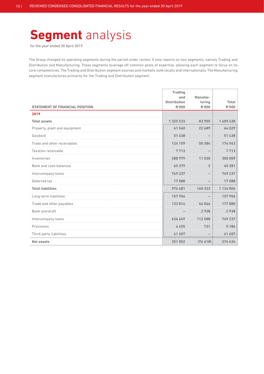# **Segment** analysis

for the year ended 30 April 2019

The Group changed its operating segments during the period under review. It now reports on two segments, namely Trading and Distribution and Manufacturing. These segments leverage off common pools of expertise, allowing each segment to focus on its core competencies. The Trading and Distribution segment sources and markets, both locally and internationally. The Manufacturing segment manufactures primarily for the Trading and Distribution segment.

|                                        | <b>Trading</b>             |                    |              |
|----------------------------------------|----------------------------|--------------------|--------------|
|                                        | and<br><b>Distribution</b> | Manufac-<br>turing | Total        |
| <b>STATEMENT OF FINANCIAL POSITION</b> | <b>R'000</b>               | <b>R'000</b>       | <b>R'000</b> |
| 2019                                   |                            |                    |              |
| <b>Total assets</b>                    | 1 325 533                  | 83 905             | 1 409 438    |
| Property, plant and equipment          | 41540                      | 22 489             | 64029        |
| Goodwill                               | 51 438                     |                    | 51 438       |
| Trade and other receivables            | 124 159                    | 50 384             | 174 543      |
| <b>Taxation receivable</b>             | 7713                       |                    | 7713         |
| Inventories                            | 288979                     | 11030              | 300 009      |
| Bank and cash balances                 | 45 379                     | $\overline{2}$     | 45 381       |
| Intercompany loans                     | 749 237                    |                    | 749 237      |
| Deferred tax                           | 17088                      |                    | 17088        |
| <b>Total liabilities</b>               | 974 481                    | 160 323            | 1 134 804    |
| Long-term liabilities                  | 157956                     |                    | 157956       |
| Trade and other payables               | 133814                     | 44066              | 177880       |
| Bank overdraft                         |                            | 2938               | 2938         |
| Intercompany loans                     | 636 649                    | 112 588            | 749 237      |
| Provisions                             | 4455                       | 731                | 5 1 8 6      |
| Third-party liabilities                | 41 607                     |                    | 41 607       |
| <b>Net assets</b>                      | 351052                     | (76, 418)          | 274 634      |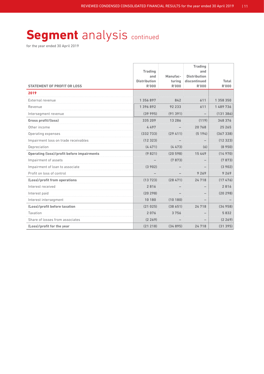# **Segment** analysis continued

|                                                   | <b>Trading</b>                      |                        | <b>Trading</b><br>and        |                       |
|---------------------------------------------------|-------------------------------------|------------------------|------------------------------|-----------------------|
|                                                   | and                                 | Manufac-               | <b>Distribution</b>          |                       |
| <b>STATEMENT OF PROFIT OR LOSS</b>                | <b>Distribution</b><br><b>R'000</b> | turing<br><b>R'000</b> | discontinued<br><b>R'000</b> | Total<br><b>R'000</b> |
| 2019                                              |                                     |                        |                              |                       |
| <b>External revenue</b>                           | 1 356 897                           | 842                    | 611                          | 1 358 350             |
| Revenue                                           | 1396892                             | 92 233                 | 611                          | 1489736               |
| Intersegment revenue                              | (39995)                             | (91391)                |                              | (131386)              |
| Gross profit/(loss)                               | 335 209                             | 13 2 8 6               | (119)                        | 348 376               |
| Other income                                      | 4 497                               |                        | 768<br>20                    | .<br>25 265<br>.      |
| Operating expenses                                | 332 7331                            |                        | 194<br>65                    | (367338)              |
| Impairment loss on trade receivables              | (12 323)                            |                        |                              | (12323)               |
| Depreciation                                      | (4471)                              | (4473)                 | (6)                          | (8950)                |
| <b>Operating (loss)/profit before impairments</b> | (9821)                              | (20598)                | 15 4 49                      | (14970)               |
| Impairment of assets                              |                                     | (7 873)                |                              | (7873)                |
| Impairment of loan to associate                   | (3 902)                             |                        |                              | (3902)<br>.           |
| Profit on loss of control                         |                                     |                        | 9269                         | 9 2 6 9               |
| (Loss)/profit from operations                     | (13723)                             | (28471)                | 24718                        | (17476)               |
| Interest received                                 | 2 816                               |                        |                              | 2816                  |
| Interest paid                                     | (20298)                             |                        |                              | (20298)               |
| Interest intersegment                             | 10 180                              | (10180)                |                              |                       |
| (Loss)/profit before taxation                     | (21025)                             | (38651)                | 24 718                       | (34958)               |
| Taxation                                          | 2 076                               | 3 756                  |                              | 5832                  |
| Share of losses from associates                   | (2269)                              |                        |                              | (2269)                |
| (Loss)/profit for the year                        | (21218)                             | (34895)                | 24718                        | (31395)               |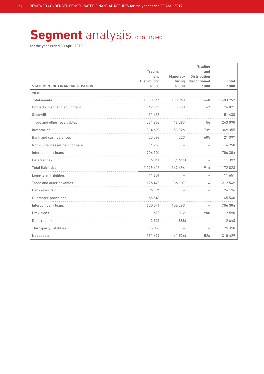# **Segment** analysis continued

| <b>STATEMENT OF FINANCIAL POSITION</b> | <b>Trading</b><br>and<br><b>Distribution</b><br><b>R'000</b> | Manufac-<br>turing<br><b>R'000</b> | <b>Trading</b><br>and<br><b>Distribution</b><br>discontinued<br><b>R'000</b> | Total<br><b>R'000</b> |
|----------------------------------------|--------------------------------------------------------------|------------------------------------|------------------------------------------------------------------------------|-----------------------|
| 2018                                   |                                                              |                                    |                                                                              |                       |
| <b>Total assets</b>                    | 1 380 844                                                    | 100 968                            | 1440                                                                         | 1 483 252             |
| Property, plant and equipment          | 42 599                                                       | 33 380                             | 42                                                                           | 76 021                |
| Goodwill                               | 51 438                                                       |                                    | $\overline{\phantom{0}}$                                                     | 51 438                |
| Trade and other receivables            | 224 953                                                      | 18083                              | 54                                                                           | 243 090               |
| Inventories                            | 314 690                                                      | 53 926                             | 739                                                                          | 369 355               |
| Bank and cash balances                 | 20 569                                                       | 223                                | 605                                                                          | 21 397                |
| Non-current asset held for sale        | 4 2 5 0                                                      |                                    |                                                                              | 4 2 5 0               |
| Intercompany loans                     | 706 304                                                      |                                    | $\overline{\phantom{0}}$                                                     | 706 304               |
| Deferred tax                           | 16 041                                                       | (4644)                             |                                                                              | 11 397                |
| <b>Total liabilities</b>               | 1029415                                                      | 142 494                            | 914                                                                          | 1 1 7 2 8 2 3         |
| Long-term liabilities                  | 11 651                                                       |                                    |                                                                              | 11 651                |
| Trade and other payables               | 176 428                                                      | 36 107                             | 14                                                                           | 212 549               |
| Bank overdraft                         | 96 196                                                       |                                    | $\overline{\phantom{m}}$                                                     | 96 196                |
| Guarantee provisions                   | 65 540                                                       |                                    |                                                                              | 65 540                |
| Intercompany loans                     | 600 041                                                      | 106 263                            | $\sim$                                                                       | 706 304               |
| Provisions                             | 678                                                          | 1012                               | 900                                                                          | 2590                  |
| Deferred tax                           | 3531                                                         | (888)                              |                                                                              | 2643                  |
| Third-party liabilities                | 75 350                                                       | $\overline{\phantom{0}}$           | $\overline{\phantom{0}}$                                                     | 75 350                |
| <b>Net assets</b>                      | 351 429                                                      | (41526)                            | 526                                                                          | 310 429               |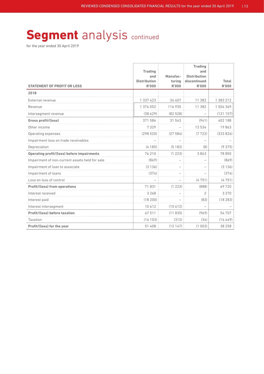# **Segment** analysis continued

| <b>STATEMENT OF PROFIT OR LOSS</b>             | <b>Trading</b><br>and<br><b>Distribution</b><br><b>R'000</b> | Manufac-<br>turing<br><b>R'000</b> | <b>Trading</b><br>and<br><b>Distribution</b><br>discontinued<br><b>R'000</b> | <b>Total</b><br><b>R'000</b> |
|------------------------------------------------|--------------------------------------------------------------|------------------------------------|------------------------------------------------------------------------------|------------------------------|
| 2018                                           |                                                              |                                    |                                                                              |                              |
| External revenue                               | 1 337 423                                                    | 34 407                             | 11 382                                                                       | 1 383 212                    |
| Revenue                                        | 1 376 052                                                    | 116 935                            | 11 382                                                                       | 1504369                      |
| Intersegment revenue                           | (38629)                                                      | (82528)                            |                                                                              | (121157)                     |
| Gross profit/(loss)                            | 371 586                                                      | 31 543                             | (941)                                                                        | 402 188                      |
| Other income                                   | 7329                                                         |                                    | 12534                                                                        | 19863                        |
| Operating expenses                             | (298520)                                                     | (27584)                            | (7722)                                                                       | (333826)                     |
| Impairment loss on trade receivables           |                                                              |                                    |                                                                              |                              |
| Depreciation                                   | (4185)                                                       | (5182)                             | (8)                                                                          | (9375)                       |
| Operating profit/(loss) before impairments     | 76 210                                                       | (1223)                             | 3863                                                                         | 78 850                       |
| Impairment of non-current assets held for sale | (869)                                                        |                                    |                                                                              | (869)                        |
| Impairment of loan to associate                | (3136)                                                       |                                    |                                                                              | (3136)                       |
| Impairment of loans                            | (374)                                                        |                                    |                                                                              | (374)                        |
| Loss on loss of control                        | L.                                                           | $\overline{\phantom{a}}$           | (4751)                                                                       | (4751)                       |
| <b>Profit/(loss) from operations</b>           | 71831                                                        | (1 223)                            | (888)                                                                        | 69720                        |
| Interest received                              | 3 2 6 8                                                      |                                    | $\overline{2}$                                                               | 3 2 7 0                      |
| Interest paid                                  | (18200)                                                      |                                    | (83)                                                                         | (18283)                      |
| Interest intersegment                          | 10 612                                                       | (10612)                            |                                                                              |                              |
| Profit/(loss) before taxation                  | 67511                                                        | (11835)                            | (969)                                                                        | 54 707                       |
| Taxation                                       | (16103)                                                      | (312)                              | (34)                                                                         | (16449)                      |
| Profit/(loss) for the year                     | 51 408                                                       | (12147)                            | (1003)                                                                       | 38 258                       |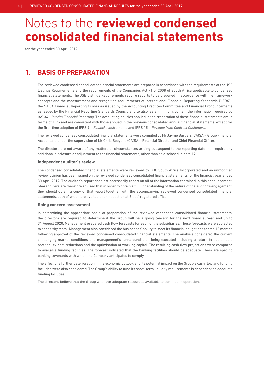for the year ended 30 April 2019

### **1. BASIS OF PREPARATION**

 The reviewed condensed consolidated financial statements are prepared in accordance with the requirements of the JSE Listings Requirements and the requirements of the Companies Act 71 of 2008 of South Africa applicable to condensed financial statements. The JSE Listings Requirements require reports to be prepared in accordance with the framework concepts and the measurement and recognition requirements of International Financial Reporting Standards ("**IFRS**"), the SAICA Financial Reporting Guides as issued by the Accounting Practices Committee and Financial Pronouncements as issued by the Financial Reporting Standards Council, and to also, as a minimum, contain the information required by IAS 34 – *Interim Financial Reporting*. The accounting policies applied in the preparation of these financial statements are in terms of IFRS and are consistent with those applied in the previous consolidated annual financial statements, except for the first-time adoption of IFRS 9 – *Financial Instruments* and IFRS 15 – *Revenue from Contract Customers.*

 The reviewed condensed consolidated financial statements were compiled by Mr Jayme Burgers (CA(SA)), Group Financial Accountant, under the supervision of Mr Chris Booyens (CA(SA)), Financial Director and Chief Financial Officer.

 The directors are not aware of any matters or circumstances arising subsequent to the reporting date that require any additional disclosure or adjustment to the financial statements, other than as disclosed in note 12.

#### **Independent auditor's review**

 The condensed consolidated financial statements were reviewed by BDO South Africa Incorporated and an unmodified review opinion has been issued on the reviewed condensed consolidated financial statements for the financial year ended 30 April 2019. The auditor's report does not necessarily report on all of the information contained in this announcement. Shareholders are therefore advised that in order to obtain a full understanding of the nature of the auditor's engagement, they should obtain a copy of that report together with the accompanying reviewed condensed consolidated financial statements, both of which are available for inspection at Ellies' registered office.

#### **Going concern assessment**

 In determining the appropriate basis of preparation of the reviewed condensed consolidated financial statements, the directors are required to determine if the Group will be a going concern for the next financial year and up to 31 August 2020. Management prepared cash flow forecasts for each of the subsidiaries. These forecasts were subjected to sensitivity tests. Management also considered the businesses' ability to meet its financial obligations for the 12 months following approval of the reviewed condensed consolidated financial statements. The analysis considered the current challenging market conditions and management's turnaround plan being executed including a return to sustainable profitability, cost reductions and the optimisation of working capital. The resulting cash flow projections were compared to available funding facilities. The forecast indicated that the banking facilities should be adequate. There are specific banking covenants with which the Company anticipates to comply.

 The effect of a further deterioration in the economic outlook and its potential impact on the Group's cash flow and funding facilities were also considered. The Group's ability to fund its short-term liquidity requirements is dependent on adequate funding facilities.

The directors believe that the Group will have adequate resources available to continue in operation.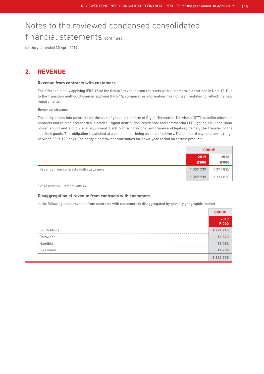for the year ended 30 April 2019

### **2. REVENUE**

### **Revenue from contracts with customers**

 The effect of initially applying IFRS 15 on the Group's revenue from contracts with customers is described in Note 12. Due to the transition method chosen in applying IFRS 15, comparative information has not been restated to reflect the new requirements.

### **Revenue streams**

 The entity enters into contracts for the sale of goods in the form of Digital Terrestrial Television (DTT), satellite television products and related accessories, electrical, signal distribution, residential and commercial LED lighting solutions, solar power, sound and audio visual equipment. Each contract has one performance obligation, namely the transfer of the specified goods. This obligation is satisfied at a point in time, being on date of delivery. The standard payment terms range between 30 to 120 days. The entity also provides warranties for a two-year period on certain products.

|                                       | <b>GROUP</b>         |                      |
|---------------------------------------|----------------------|----------------------|
|                                       | 2019<br><b>R'000</b> | 2018<br><b>R'000</b> |
| Revenue from contracts with customers | 1 357 739            | 1 371 830*           |
|                                       | 1 3 5 7 7 3 9        | 1 371 830            |

\* *2018 restated – refer to note 14.*

### **Disaggregation of revenue from contracts with customers**

In the following table, revenue from contracts with customers is disaggregated by primary geographic market.

|              | <b>R'OOO</b> |
|--------------|--------------|
| South Africa | 1 271 245    |
| Botswana     |              |
| Namibia      |              |
| Swaziland    |              |
|              |              |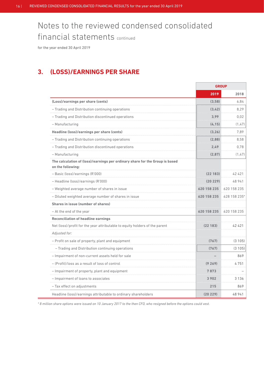for the year ended 30 April 2019

### **3. (LOSS)/EARNINGS PER SHARE**

|                                                                                                   | <b>GROUP</b> |              |
|---------------------------------------------------------------------------------------------------|--------------|--------------|
|                                                                                                   | 2019         | 2018         |
| (Loss)/earnings per share (cents)                                                                 | (3.58)       | 6.84         |
| - Trading and Distribution continuing operations                                                  | (3.42)       | 8.29         |
| - Trading and Distribution discontinued operations                                                | 3.99         | 0.02         |
| - Manufacturing                                                                                   | (4.15)       | (1, 47)      |
| Headline (loss)/earnings per share (cents)                                                        | (3.26)       | 7.89         |
| - Trading and Distribution continuing operations                                                  | (2.88)       | 8.58         |
| - Trading and Distribution discontinued operations                                                | 2.49         | 0,78         |
| - Manufacturing                                                                                   | (2.87)       | (1, 47)      |
| The calculation of (loss)/earnings per ordinary share for the Group is based<br>on the following: |              |              |
| - Basic (loss)/earnings (R'000)                                                                   | (22 183)     | 42 4 21      |
| - Headline (loss)/earnings (R'000)                                                                | (20 229)     | 48 941       |
| - Weighted average number of shares in issue                                                      | 620 158 235  | 620 158 235  |
| - Diluted weighted average number of shares in issue                                              | 620 158 235  | 628 158 235* |
| <b>Shares in issue (number of shares)</b>                                                         |              |              |
| - At the end of the year                                                                          | 620 158 235  | 620 158 235  |
| <b>Reconciliation of headline earnings</b>                                                        |              |              |
| Net (loss)/profit for the year attributable to equity holders of the parent                       | (22 183)     | 42 4 21      |
| Adjusted for:                                                                                     |              |              |
| - Profit on sale of property, plant and equipment                                                 | (767)        | (3105)       |
| - Trading and Distribution continuing operations                                                  | (767)        | (3105)       |
| - Impairment of non-current assets held for sale                                                  |              | 869          |
| - (Profit)/loss as a result of loss of control                                                    | (9 269)      | 4751         |
| - Impairment of property, plant and equipment                                                     | 7 873        |              |
| - Impairment of loans to associates                                                               | .<br>3902    | 3 1 3 6      |
| - Tax effect on adjustments                                                                       | 215          | 869          |
| Headline (loss)/earnings attributable to ordinary shareholders                                    | (20 229)     | 48 941       |

*\* 8 million share options were issued on 10 January 2017 to the then CFO, who resigned before the options could vest.*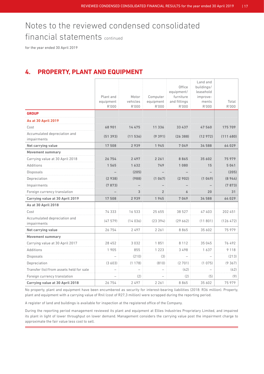for the year ended 30 April 2019

### **4. PROPERTY, PLANT AND EQUIPMENT**

|                                             |                        |                   |                       | Office<br>equipment/      | Land and<br>buildings/<br>leasehold |            |
|---------------------------------------------|------------------------|-------------------|-----------------------|---------------------------|-------------------------------------|------------|
|                                             | Plant and<br>equipment | Motor<br>vehicles | Computer<br>equipment | furniture<br>and fittings | improve-<br>ments                   | Total      |
|                                             | R'000                  | R'000             | R'000                 | R'000                     | R'000                               | R'000      |
| <b>GROUP</b>                                |                        |                   |                       |                           |                                     |            |
| <b>As at 30 April 2019</b>                  |                        |                   |                       |                           |                                     |            |
| Cost                                        |                        |                   | 11 336                |                           | 47 560                              | 175 709    |
| Accumulated depreciation and<br>impairments | (51393)                | (11536)           | (9391)                | (26388)                   | (12972)                             | (111680)   |
| Net carrying value                          | 17508                  | 2939              | 1945                  | 7049                      | 34 588                              | 64029      |
| <b>Movement summary</b>                     |                        |                   |                       |                           |                                     |            |
| Carrying value at 30 April 2018             |                        |                   |                       |                           | 35 602                              | 75 979     |
| <b>Additions</b>                            |                        |                   |                       |                           | 15                                  | 5 041<br>. |
| <b>Disposals</b>                            |                        | (205)             |                       |                           |                                     | (205)      |
| Depreciation                                | (2 938)                | (988)             |                       |                           |                                     | (8944)     |
| Impairments                                 | (7873)                 |                   |                       |                           |                                     | (7873)     |
| Foreign currency translation                |                        |                   |                       |                           | 20                                  | 31         |
| Carrying value at 30 April 2019             | 17508                  | 2939              | 1945                  | 7049                      | 34 588                              | 64029      |
| As at 30 April 2018                         |                        |                   |                       |                           |                                     |            |
| Cost                                        | 74 333                 | 16 533            | 25 655                | 38 527                    | 47 403                              | 202 451    |
| Accumulated depreciation and<br>impairments | (47579)                | (14036)           | (23394)               | (29662)                   | (11801)                             | (126 472)  |
| Net carrying value                          | 26 754                 | 2497              | 2 2 6 1               | 8865                      | 35 602                              | 75979      |
| <b>Movement summary</b>                     |                        |                   |                       |                           |                                     |            |
| Carrying value at 30 April 2017             | 28 452                 | 3032              | 1851                  | 8 1 1 2                   | 35 045                              | 76492      |
| <b>Additions</b>                            | 1905                   | 855               | 1 2 2 3               | 3498                      | 1637                                | 9 1 1 8    |
| <b>Disposals</b>                            |                        | (210)             | (3)                   |                           |                                     | (213)      |
| Depreciation                                | (3603)                 | (1178)            | (810)                 | (2701)                    | (1075)                              | (9367)     |
| Transfer (to)/from assets held for sale     |                        |                   |                       | (42)                      |                                     | (42)       |
| Foreign currency translation                |                        | (2)               |                       | (2)                       | (5)                                 | (9)        |
| Carrying value at 30 April 2018             | 26 754                 | 2497              | 2 2 6 1               | 8865                      | 35 602                              | 75 979     |

No property, plant and equipment have been encumbered as security for interest-bearing liabilities (2018: R36 million). Property, plant and equipment with a carrying value of Rnil (cost of R27,3 million) were scrapped during the reporting period.

A register of land and buildings is available for inspection at the registered office of the Company.

During the reporting period management reviewed its plant and equipment at Ellies Industries Proprietary Limited, and impaired its plant in light of lower throughput on lower demand. Management considers the carrying value post the impairment charge to approximate the fair value less cost to sell.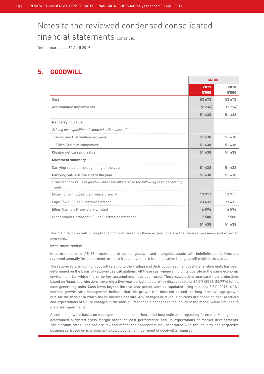for the year ended 30 April 2019

### **5. GOODWILL**

|                                                                                               | <b>GROUP</b>         |                      |
|-----------------------------------------------------------------------------------------------|----------------------|----------------------|
|                                                                                               | 2019<br><b>R'000</b> | 2018<br><b>R'000</b> |
| Cost                                                                                          | 53 672               | 53 672               |
| Accumulated impairments                                                                       | (2234)               | (2, 234)             |
|                                                                                               | 51 438               | 51 438               |
| Net carrying value                                                                            |                      |                      |
| Arising on acquisition of companies/business of:                                              |                      |                      |
| <b>Trading and Distribution segment</b>                                                       | 51 438               | 51 438               |
| - Ellies Group of companies*                                                                  | 51 438               | 51 438               |
| <b>Closing net carrying value</b>                                                             | 51 438               | 51 438               |
| <b>Movement summary</b>                                                                       |                      |                      |
| Carrying value at the beginning of the year                                                   | 51 438               | 51 438               |
| Carrying value at the end of the year                                                         | 51 438               | 51 438               |
| * The net book value of goodwill has been allocated to the following cash-generating<br>units |                      |                      |
| Bloemfontein (Ellies Electronics branch)                                                      | 13911                | 13911                |
| Cape Town (Ellies Electronics branch)                                                         | 23 4 31              | 23 4 31              |
| <b>Ellies Namibia Proprietary Limited</b>                                                     | 6596                 | 6596                 |
| Other smaller branches (Ellies Electronics branches)                                          | 7500                 | 7500                 |
|                                                                                               | 51 438               | 51 438               |

 The main factors contributing to the goodwill raised on these acquisitions are their market presence and expected synergies.

### **Impairment review**

 In accordance with IAS 36, impairment of assets, goodwill and intangible assets with indefinite useful lives are reviewed annually for impairment, or more frequently if there is an indication that goodwill might be impaired.

 The recoverable amount of goodwill relating to the Trading and Distribution segment cash-generating units has been determined on the basis of value-in-use calculations. All these cash-generating units operate in the same economic environment for which the same key assumptions have been used. These calculations use cash flow projections based on financial projections, covering a five-year period and a pre-tax discount rate of 24,0% (2018: 20,99%) for all cash-generating units. Cash flows beyond the five-year period were extrapolated using a steady 5,2% (2018: 4,0%) nominal growth rate. Management believes that this growth rate does not exceed the long-term average growth rate for the market in which the businesses operate. Any changes in revenue or costs are based on past practices and expectations of future changes in the market. Reasonable changes to the inputs of the model would not lead to material impairments.

 Assumptions were based on management's past experience and best estimates regarding forecasts. Management determined budgeted gross margin based on past performance and its expectations of market developments. The discount rates used are pre-tax and reflect the appropriate risk associated with the industry and respective businesses. Based on management's calculations no impairment of goodwill is required.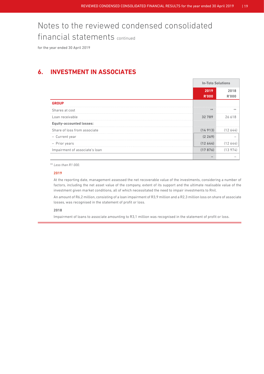for the year ended 30 April 2019

### **6. INVESTMENT IN ASSOCIATES**

|                                 |                      | <b>In-Toto Solutions</b> |  |
|---------------------------------|----------------------|--------------------------|--|
|                                 | 2019<br><b>R'000</b> | 2018<br>R'000            |  |
| <b>GROUP</b>                    |                      |                          |  |
| Shares at cost                  |                      | **                       |  |
| Loan receivable                 | 32 789               |                          |  |
| <b>Equity-accounted losses:</b> |                      |                          |  |
| Share of loss from associate    | (14913)              | (12.644)                 |  |
| - Current year                  | (2269)               |                          |  |
| - Prior years                   | (12644)              | 12 644                   |  |
| Impairment of associate's loan  | (17876)              |                          |  |
|                                 |                      |                          |  |

\*\* *Less than R1 000.*

### **2019**

 At the reporting date, management assessed the net recoverable value of the investments, considering a number of factors, including the net asset value of the company, extent of its support and the ultimate realisable value of the investment given market conditions, all of which necessitated the need to impair investments to Rnil.

An amount of R6,2 million, consisting of a loan impairment of R3,9 million and a R2,3 million loss on share of associate losses, was recognised in the statement of profit or loss.

#### **2018**

Impairment of loans to associate amounting to R3,1 million was recognised in the statement of profit or loss.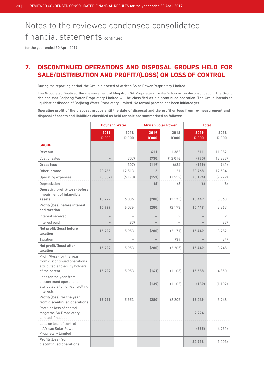for the year ended 30 April 2019

### **7. DISCONTINUED OPERATIONS AND DISPOSAL GROUPS HELD FOR SALE/DISTRIBUTION AND PROFIT/(LOSS) ON LOSS OF CONTROL**

During the reporting period, the Group disposed of African Solar Power Proprietary Limited.

 The Group also finalised the measurement of Megatron SA Proprietary Limited's losses on deconsolidation. The Group decided that Botjheng Water Proprietary Limited will be classified as a discontinued operation. The Group intends to liquidate or dispose of Botjheng Water Proprietary Limited. No formal process has been initiated yet.

**Operating profit of the disposal groups until the date of disposal and the profit or loss from re-measurement and disposal of assets and liabilities classified as held for sale are summarised as follows:**

|                                                                                                               |                      | <b>Botjheng Water</b> | <b>African Solar Power</b> |                      | <b>Total</b>         |                      |
|---------------------------------------------------------------------------------------------------------------|----------------------|-----------------------|----------------------------|----------------------|----------------------|----------------------|
|                                                                                                               | 2019<br><b>R'000</b> | 2018<br><b>R'000</b>  | 2019<br><b>R'000</b>       | 2018<br><b>R'000</b> | 2019<br><b>R'000</b> | 2018<br><b>R'000</b> |
| <b>GROUP</b>                                                                                                  |                      |                       |                            |                      |                      |                      |
| <b>Revenue</b>                                                                                                |                      |                       | 611                        | 11 382               | 611                  | 11 382               |
| Cost of sales                                                                                                 |                      | (307)                 | (730)                      | (12016)              | (730)                | (12323)              |
| <b>Gross loss</b>                                                                                             |                      | (307)                 | (119)                      | (634)                | (119)                | (941)                |
| Other income                                                                                                  | 20766                | 12513                 | $\overline{2}$             | 21                   | 20768                | 12 534               |
| Operating expenses                                                                                            | (5 037)              | (6170)                | (157)                      | (1552)               | (5194)               | (7722)               |
| Depreciation                                                                                                  |                      |                       | (6)                        | (8)                  | (6)                  | (8)                  |
| <b>Operating profit/(loss) before</b><br>impairment of intangible<br>assets                                   | 15729                | 6036                  | (280)                      | (2173)               | 15 4 4 9             | 3863                 |
| Profit/(loss) before interest<br>and taxation                                                                 | 15729                | 6036                  | (280)                      | (2173)               | 15449                | 3863                 |
| Interest received                                                                                             |                      |                       |                            | 2                    |                      | $\overline{2}$       |
| Interest paid                                                                                                 |                      | (83)                  |                            |                      |                      | (83)                 |
| Net profit/(loss) before<br>taxation                                                                          | 15729                | 5953                  | (280)                      | (2171)               | 15449                | 3782                 |
| <b>Taxation</b>                                                                                               |                      |                       |                            | (34)                 |                      | (34)                 |
| Net profit/(loss) after<br>taxation                                                                           | 15729                | 5953                  | (280)                      | (2 205)              | 15449                | 3748                 |
| Profit/(loss) for the year<br>from discontinued operations<br>attributable to equity holders<br>of the parent | 15729                | 5953                  | (141)                      | (1103)               | 15 588               | 4850                 |
| Loss for the year from<br>discontinued operations<br>attributable to non-controlling<br>interests             |                      |                       | (139)                      | (1102)               | (139)                | (1102)               |
| Profit/(loss) for the year<br>from discontinued operations                                                    | 15729                | 5953                  | (280)                      | (2205)               | 15449                | 3748                 |
| Profit on loss of control -<br><b>Megatron SA Proprietary</b><br>Limited (finalised)                          |                      |                       |                            |                      | 9924                 |                      |
| Loss on loss of control<br>- African Solar Power<br><b>Proprietary Limited</b>                                |                      |                       |                            |                      | (655)                | (4751)               |
| Profit/(loss) from<br>discontinued operations                                                                 |                      |                       |                            |                      | 24718                | (1 003)              |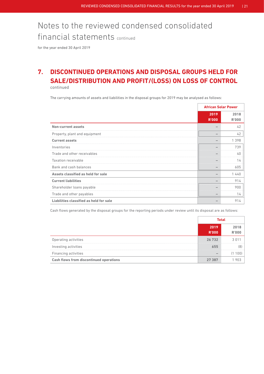for the year ended 30 April 2019

### **7. DISCONTINUED OPERATIONS AND DISPOSAL GROUPS HELD FOR SALE/DISTRIBUTION AND PROFIT/(LOSS) ON LOSS OF CONTROL**  continued

The carrying amounts of assets and liabilities in the disposal groups for 2019 may be analysed as follows:

|                                         | <b>African Solar Power</b> |                      |
|-----------------------------------------|----------------------------|----------------------|
|                                         | 2019<br><b>R'000</b>       | 2018<br><b>R'000</b> |
| <b>Non-current assets</b>               |                            | 42                   |
| Property, plant and equipment           |                            | 42                   |
| <b>Current assets</b>                   |                            | 1398                 |
| Inventories                             |                            | 739                  |
| Trade and other receivables             |                            | 40                   |
| <b>Taxation receivable</b>              |                            | 14                   |
| Bank and cash balances                  |                            | 605                  |
| Assets classified as held for sale      |                            | 1440                 |
| <b>Current liabilities</b>              |                            | 914                  |
| Shareholder loans payable               |                            | 900                  |
| Trade and other payables                |                            | 14                   |
| Liabilities classified as held for sale |                            | 914                  |

Cash flows generated by the disposal groups for the reporting periods under review until its disposal are as follows:

|                                                | Total                |  |
|------------------------------------------------|----------------------|--|
|                                                | 2019<br><b>R'000</b> |  |
| Operating activities                           | 26 732               |  |
| Investing activities                           | .                    |  |
| Financing activities                           |                      |  |
| <b>Cash flows from discontinued operations</b> |                      |  |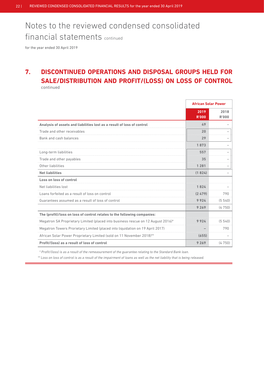for the year ended 30 April 2019

### **7. DISCONTINUED OPERATIONS AND DISPOSAL GROUPS HELD FOR SALE/DISTRIBUTION AND PROFIT/(LOSS) ON LOSS OF CONTROL**  continued

|                                                                                  | <b>African Solar Power</b> |                      |
|----------------------------------------------------------------------------------|----------------------------|----------------------|
|                                                                                  | 2019<br><b>R'000</b>       | 2018<br><b>R'000</b> |
| Analysis of assets and liabilities lost as a result of loss of control           | 49                         |                      |
| Trade and other receivables                                                      | 20                         |                      |
| Bank and cash balances                                                           | 29                         |                      |
|                                                                                  | 1873                       |                      |
| Long-term liabilities                                                            | 557                        |                      |
| Trade and other payables                                                         | 35                         |                      |
| Other liabilities                                                                | 1 2 8 1                    |                      |
| <b>Net liabilities</b>                                                           | (1824)                     |                      |
| Loss on loss of control                                                          |                            |                      |
| Net liabilities lost                                                             | 1 824                      |                      |
| Loans forfeited as a result of loss on control                                   | (2 479)                    | 790                  |
| Guarantees assumed as a result of loss of control                                | 9924                       | (5540)               |
|                                                                                  | 9 2 6 9                    | (4750)               |
| The (profit)/loss on loss of control relates to the following companies:         |                            |                      |
| Megatron SA Proprietary Limited (placed into business rescue on 12 August 2016)* | 9924                       | (5540)               |
| Megatron Towers Prorietary Limited (placed into liquidation on 19 April 2017)    |                            | 790                  |
| African Solar Power Proprietary Limited (sold on 11 November 2018)**             | (655)                      |                      |
| Profit/(loss) as a result of loss of control                                     | 9 2 6 9                    | (4750)               |

 *\* Profit/(loss) is as a result of the remeasurement of the guarantee relating to the Standard Bank loan.*

*\*\* Loss on loss of control is as a result of the impairment of loans as well as the net liability that is being released.*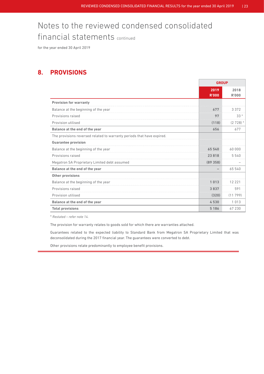for the year ended 30 April 2019

### **8. PROVISIONS**

|                                                                        | <b>GROUP</b>             |               |
|------------------------------------------------------------------------|--------------------------|---------------|
|                                                                        | 2019<br><b>R'000</b>     | 2018<br>R'000 |
| <b>Provision for warranty</b>                                          |                          |               |
| Balance at the beginning of the year                                   | 677                      | 3 3 7 2       |
| Provisions raised                                                      | 97                       | $33*$         |
| Provision utilised                                                     | (118)                    | $(2728)$ *    |
| Balance at the end of the year                                         | 656                      | 677           |
| The provisions reversed related to warranty periods that have expired. |                          |               |
| <b>Guarantee provision</b>                                             |                          |               |
| Balance at the beginning of the year                                   | 65 540                   | 60 000        |
| Provisions raised                                                      | 23818                    | 5540          |
| Megatron SA Proprietary Limited debt assumed                           | (89358)                  |               |
| Balance at the end of the year                                         | $\overline{\phantom{0}}$ | 65 540        |
| <b>Other provisions</b>                                                |                          |               |
| Balance at the beginning of the year                                   | 1013                     | 12 2 2 1      |
| Provisions raised                                                      | 3 837                    | 591           |
| Provision utilised                                                     | (320)                    | (11799)       |
| Balance at the end of the year                                         | 4530                     | 1013          |
| <b>Total provisions</b>                                                | 5 1 8 6                  | 67 230        |

\* *Restated – refer note 14.*

The provision for warranty relates to goods sold for which there are warranties attached.

 Guarantees related to the expected liability to Standard Bank from Megatron SA Proprietary Limited that was deconsolidated during the 2017 financial year. The guarantees were converted to debt.

Other provisions relate predominantly to employee benefit provisions.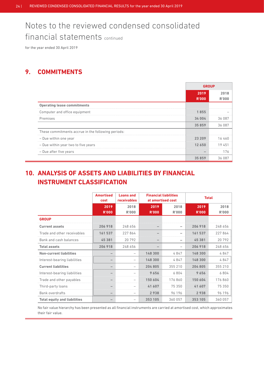for the year ended 30 April 2019

### **9. COMMITMENTS**

|                                                    | <b>GROUP</b>         |               |
|----------------------------------------------------|----------------------|---------------|
|                                                    | 2019<br><b>R'000</b> | 2018<br>R'000 |
| <b>Operating lease commitments</b>                 |                      |               |
| Computer and office equipment                      | 1855                 |               |
| Premises                                           | 34 004               | 36 087        |
|                                                    | 35 859               | 36 087        |
| These commitments accrue in the following periods: |                      |               |
| - Due within one year                              | 23 2N9               |               |
| - Due within year two to five years                | 12650                |               |
| - Due after five years                             |                      | 176           |
|                                                    | 35859                | 36.087        |

### **10. ANALYSIS OF ASSETS AND LIABILITIES BY FINANCIAL INSTRUMENT CLASSIFICATION**

|                                     | <b>Amortised</b><br>cost | <b>Loans and</b><br>receivables | <b>Financial liabilities</b><br>at amortised cost |                      | <b>Total</b>         |                      |
|-------------------------------------|--------------------------|---------------------------------|---------------------------------------------------|----------------------|----------------------|----------------------|
|                                     | 2019<br><b>R'000</b>     | 2018<br>R'000                   | 2019<br><b>R'000</b>                              | 2018<br><b>R'000</b> | 2019<br><b>R'000</b> | 2018<br><b>R'000</b> |
| <b>GROUP</b>                        |                          |                                 |                                                   |                      |                      |                      |
| <b>Current assets</b>               | 206 918                  | 248 656                         |                                                   |                      | 206 918              | 248 656              |
| Trade and other receivables         | 161 537                  | 227864                          |                                                   |                      | 161 537              | 227 864              |
| Bank and cash balances              | 45 381                   | 20792                           |                                                   |                      | 45 381               | 20 792               |
| <b>Total assets</b>                 | 206 918                  | 248 656                         |                                                   |                      | 206 918              | 248 656              |
| <b>Non-current liabilities</b>      |                          |                                 | 148 300                                           | 4847                 | 148 300              | 4847                 |
| Interest-bearing liabilities        |                          |                                 | 148 300                                           | 4847                 | 148 300              | 4847                 |
| <b>Current liabilities</b>          |                          |                                 | 204 805                                           | 355 210              | 204 805              | 355 210              |
| Interest-bearing liabilities        |                          |                                 | 9656                                              | 6804                 | 9656                 | 6804                 |
| Trade and other payables            |                          |                                 | 150 604                                           | 176860               | 150 604              | 176860               |
| Third-party loans                   |                          |                                 | 41 607                                            | 75 350               | 41 607               | 75 350               |
| <b>Bank overdrafts</b>              |                          | $\equiv$                        | 2938                                              | 96196                | 2938                 | 96 196               |
| <b>Total equity and liabilities</b> |                          |                                 | 353 105                                           | 360 057              | 353 105              | 360 057              |

No fair value hierarchy has been presented as all financial instruments are carried at amortised cost, which approximates their fair value.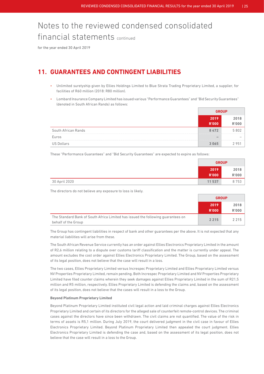for the year ended 30 April 2019

### **11. GUARANTEES AND CONTINGENT LIABILITIES**

- Unlimited suretyship given by Ellies Holdings Limited to Blue Strata Trading Proprietary Limited, a supplier, for facilities of R60 million (2018: R80 million).
- Lombard Insurance Company Limited has issued various "Performance Guarantees" and "Bid Security Guarantees" (denoted in South African Rands) as follows:

|                     | 2019<br>R'000 |  |
|---------------------|---------------|--|
| South African Rands | 8472          |  |
| Furos               |               |  |
| US Dollars          |               |  |

These "Performance Guarantees" and "Bid Security Guarantees" are expected to expire as follows:

|               | <b>GROUP</b> |              |
|---------------|--------------|--------------|
|               | 2019         | 2018         |
|               | <b>R'000</b> | <b>R'000</b> |
| 30 April 2020 | 11 537       | 8753         |

The directors do not believe any exposure to loss is likely.

|                                                                                                         | <b>GROUP</b>         |                      |
|---------------------------------------------------------------------------------------------------------|----------------------|----------------------|
|                                                                                                         | 2019<br><b>R'000</b> | 2018<br><b>R'000</b> |
| The Standard Bank of South Africa Limited has issued the following quarantees on<br>behalf of the Group | 2 2 1 5              | 2 2 1 5              |

 The Group has contingent liabilities in respect of bank and other guarantees per the above. It is not expected that any material liabilities will arise from these.

 The South African Revenue Service currently has an order against Ellies Electronics Proprietary Limited in the amount of R2,6 million relating to a dispute over customs tariff classification and the matter is currently under appeal. The amount excludes the cost order against Ellies Electronics Proprietary Limited. The Group, based on the assessment of its legal position, does not believe that the case will result in a loss.

 The two cases, Ellies Proprietary Limited versus Increspec Proprietary Limited and Ellies Proprietary Limited versus NV Properties Proprietary Limited, remain pending. Both Increspec Proprietary Limited and NV Properties Proprietary Limited have filed counter claims wherein they seek damages against Ellies Proprietary Limited in the sum of R21,5 million and R5 million, respectively. Ellies Proprietary Limited is defending the claims and, based on the assessment of its legal position, does not believe that the cases will result in a loss to the Group.

### **Beyond Platinum Proprietary Limited**

 Beyond Platinum Proprietary Limited instituted civil legal action and laid criminal charges against Ellies Electronics Proprietary Limited and certain of its directors for the alleged sale of counterfeit remote-control devices. The criminal cases against the directors have since been withdrawn. The civil claims are not quantified. The value of the risk in terms of assets is R5,1 million. During July 2019, the court delivered judgment in the civil case in favour of Ellies Electronics Proprietary Limited. Beyond Platinum Proprietary Limited then appealed the court judgment. Ellies Electronics Proprietary Limited is defending the case and, based on the assessment of its legal position, does not believe that the case will result in a loss to the Group.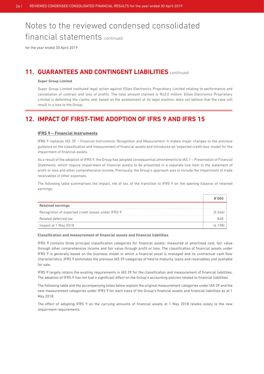for the year ended 30 April 2019

### **11. GUARANTEES AND CONTINGENT LIABILITIES** continued

### **Super Group Limited**

 Super Group Limited instituted legal action against Ellies Electronics Proprietary Limited relating to performance and cancellation of contract and loss of profits. The total amount claimed is R42,0 million. Ellies Electronics Proprietary Limited is defending the claims and, based on the assessment of its legal position, does not believe that the case will result in a loss to the Group.

### **12. IMPACT OF FIRST-TIME ADOPTION OF IFRS 9 AND IFRS 15**

#### **IFRS 9 – Financial Instruments**

 IFRS 9 replaces IAS 39 – *Financial Instruments: Recognition and Measurement.* It makes major changes to the previous guidance on the classification and measurement of financial assets and introduces an 'expected credit loss' model for the impairment of financial assets.

 As a result of the adoption of IFRS 9, the Group has adopted consequential amendments to IAS 1 – *Presentation of Financial Statements,* which require impairment of financial assets to be presented in a separate line item in the statement of profit or loss and other comprehensive income. Previously, the Group's approach was to include the impairment of trade receivables in other expenses.

 The following table summarises the impact, net of tax, of the transition to IFRS 9 on the opening balance of retained earnings:

| <b>Retained earnings</b>                           |  |
|----------------------------------------------------|--|
| Recognition of expected credit losses under IFRS 9 |  |
| Related deferred tax                               |  |
| Impact at 1 May 2018                               |  |

#### **Classification and measurement of financial assets and financial liabilities**

 IFRS 9 contains three principal classification categories for financial assets: measured at amortised cost, fair value through other comprehensive income and fair value through profit or loss. The classification of financial assets under IFRS 9 is generally based on the business model in which a financial asset is managed and its contractual cash flow characteristics. IFRS 9 eliminates the previous IAS 39 categories of held to maturity, loans and receivables and available for sale.

 IFRS 9 largely retains the existing requirements in IAS 39 for the classification and measurement of financial liabilities. The adoption of IFRS 9 has not had a significant effect on the Group's accounting policies related to financial liabilities.

 The following table and the accompanying notes below explain the original measurement categories under IAS 39 and the new measurement categories under IFRS 9 for each class of the Group's financial assets and financial liabilities as at 1 May 2018.

 The effect of adopting IFRS 9 on the carrying amounts of financial assets at 1 May 2018 relates solely to the new impairment requirements.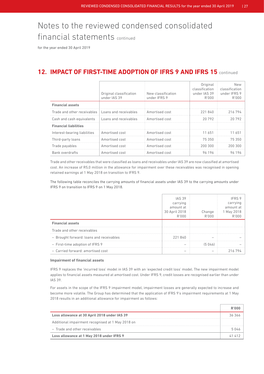for the year ended 30 April 2019

### **12. IMPACT OF FIRST-TIME ADOPTION OF IFRS 9 AND IFRS 15** continued

|                                                     | Original classification<br>under IAS 39 | New classification<br>under IFRS 9 | Original<br>classification<br>under IAS 39<br>R'000 | <b>New</b><br>classification<br>under IFRS 9<br>R'000 |
|-----------------------------------------------------|-----------------------------------------|------------------------------------|-----------------------------------------------------|-------------------------------------------------------|
| <b>Financial assets</b>                             |                                         |                                    |                                                     |                                                       |
| Trade and other receivables   Loans and receivables |                                         | Amortised cost                     | 221 840                                             | 216 794                                               |
| Cash and cash equivalents                           | Loans and receivables                   | Amortised cost                     | 20.792                                              | 20 792                                                |
| <b>Financial liabilities</b>                        |                                         |                                    |                                                     |                                                       |
| Interest-bearing liabilities                        | Amortised cost                          | Amortised cost                     | 11 651                                              | 11 651                                                |
| Third-party loans                                   | Amortised cost                          | Amortised cost                     | 75350                                               | 75 350                                                |
| Trade payables                                      | Amortised cost                          | Amortised cost                     | 200 300                                             | 200 300                                               |
| <b>Bank overdrafts</b>                              | Amortised cost                          | Amortised cost                     | 96 196                                              | 96196                                                 |

 Trade and other receivables that were classified as loans and receivables under IAS 39 are now classified at amortised cost. An increase of R5,0 million in the allowance for impairment over these receivables was recognised in opening retained earnings at 1 May 2018 on transition to IFRS 9.

 The following table reconciles the carrying amounts of financial assets under IAS 39 to the carrying amounts under IFRS 9 on transition to IFRS 9 on 1 May 2018.

|                                          | <b>IAS 39</b><br>carrying<br>amount at<br>30 April 2018<br>R'000 | Change | amoun<br>l Mav |
|------------------------------------------|------------------------------------------------------------------|--------|----------------|
| <b>Financial assets</b>                  |                                                                  |        |                |
| Trade and other receivables              |                                                                  |        |                |
| - Brought forward: loans and receivables | 221840                                                           |        |                |
| - First-time adoption of IFRS 9          |                                                                  | (5046) |                |
| - Carried forward: amortised cost        |                                                                  |        |                |

#### **Impairment of financial assets**

 IFRS 9 replaces the 'incurred loss' model in IAS 39 with an 'expected credit loss' model. The new impairment model applies to financial assets measured at amortised cost. Under IFRS 9, credit losses are recognised earlier than under IAS 39.

 For assets in the scope of the IFRS 9 impairment model, impairment losses are generally expected to increase and become more volatile. The Group has determined that the application of IFRS 9's impairment requirements at 1 May 2018 results in an additional allowance for impairment as follows:

| Loss allowance at 30 April 2018 under IAS 39      |  |
|---------------------------------------------------|--|
| Additional impairment recognised at 1 May 2018 on |  |
| - Trade and other receivables                     |  |
| Loss allowance at 1 May 2018 under IFRS 9         |  |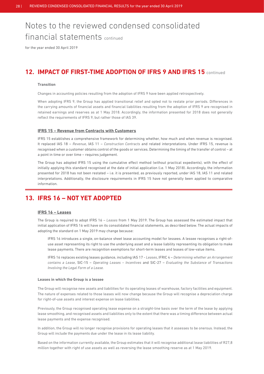for the year ended 30 April 2019

### **12. IMPACT OF FIRST-TIME ADOPTION OF IFRS 9 AND IFRS 15** continued

#### **Transition**

Changes in accounting policies resulting from the adoption of IFRS 9 have been applied retrospectively.

 When adopting IFRS 9, the Group has applied transitional relief and opted not to restate prior periods. Differences in the carrying amounts of financial assets and financial liabilities resulting from the adoption of IFRS 9 are recognised in retained earnings and reserves as at 1 May 2018. Accordingly, the information presented for 2018 does not generally reflect the requirements of IFRS 9, but rather those of IAS 39.

#### **IFRS 15 – Revenue from Contracts with Customers**

 IFRS 15 establishes a comprehensive framework for determining whether, how much and when revenue is recognised. It replaced IAS 18 – *Revenue*, IAS 11 – *Construction Contracts* and related interpretations. Under IFRS 15, revenue is recognised when a customer obtains control of the goods or services. Determining the timing of the transfer of control – at a point in time or over time – requires judgement.

 The Group has adopted IFRS 15 using the cumulative effect method (without practical expedients), with the effect of initially applying this standard recognised at the date of initial application (i.e. 1 May 2018). Accordingly, the information presented for 2018 has not been restated – i.e. it is presented, as previously reported, under IAS 18, IAS 11 and related interpretations. Additionally, the disclosure requirements in IFRS 15 have not generally been applied to comparative information.

### **13. IFRS 16 – NOT YET ADOPTED**

### **IFRS 16 – Leases**

 The Group is required to adopt IFRS 16 – *Leases* from 1 May 2019. The Group has assessed the estimated impact that initial application of IFRS 16 will have on its consolidated financial statements, as described below. The actual impacts of adopting the standard on 1 May 2019 may change because:

 IFRS 16 introduces a single, on-balance sheet lease accounting model for lessees. A lessee recognises a right-ofuse asset representing its right to use the underlying asset and a lease liability representing its obligation to make lease payments. There are recognition exemptions for short-term leases and leases of low-value items.

 IFRS 16 replaces existing leases guidance, including IAS 17 - *Leases*, IFRIC 4 – *Determining whether an Arrangement contains a Lease*, SIC-15 – *Operating Leases – Incentives* and SIC-27 – *Evaluating the Substance of Transactions Involving the Legal Form of a Lease.*

#### **Leases in which the Group is a lessee**

 The Group will recognise new assets and liabilities for its operating leases of warehouse, factory facilities and equipment. The nature of expenses related to those leases will now change because the Group will recognise a depreciation charge for right-of-use assets and interest expense on lease liabilities.

 Previously, the Group recognised operating lease expense on a straight-line basis over the term of the lease by applying lease smoothing, and recognised assets and liabilities only to the extent that there was a timing difference between actual lease payments and the expense recognised.

In addition, the Group will no longer recognise provisions for operating leases that it assesses to be onerous. Instead, the Group will include the payments due under the lease in its lease liability.

 Based on the information currently available, the Group estimates that it will recognise additional lease liabilities of R27,8 million together with right of use assets as well as reversing the lease smoothing reserve as at 1 May 2019.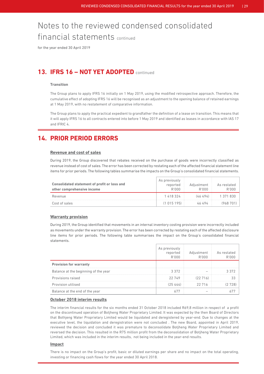for the year ended 30 April 2019

### **13. IFRS 16 – NOT YET ADOPTED** continued

### **Transition**

 The Group plans to apply IFRS 16 initially on 1 May 2019, using the modified retrospective approach. Therefore, the cumulative effect of adopting IFRS 16 will be recognised as an adjustment to the opening balance of retained earnings at 1 May 2019, with no restatement of comparative information.

 The Group plans to apply the practical expedient to grandfather the definition of a lease on transition. This means that it will apply IFRS 16 to all contracts entered into before 1 May 2019 and identified as leases in accordance with IAS 17 and IFRIC 4.

### **14. PRIOR PERIOD ERRORS**

### **Revenue and cost of sales**

 During 2019, the Group discovered that rebates received on the purchase of goods were incorrectly classified as revenue instead of cost of sales. The error has been corrected by restating each of the affected financial statement line items for prior periods. The following tables summarise the impacts on the Group's consolidated financial statements.

| <b>Consolidated statement of profit or loss and</b><br>other comprehensive income | As previously<br>reported<br>R'000 | Adjustment<br>R'000 | As restated<br>R'000 |
|-----------------------------------------------------------------------------------|------------------------------------|---------------------|----------------------|
| Revenue                                                                           | 1 418 324                          | (46494)             | 1 371 830            |
| Cost of sales                                                                     | (1015195)                          | 46 494              | (968701)             |

#### **Warranty provision**

 During 2019, the Group identified that movements in an internal inventory costing provision were incorrectly included as movements under the warranty provision. The error has been corrected by restating each of the affected disclosure line items for prior periods. The following table summarises the impact on the Group's consolidated financial statements.

|                                      | As pre<br>reported | ustment :<br>B'NNN | As restated |
|--------------------------------------|--------------------|--------------------|-------------|
| <b>Provision for warranty</b>        |                    |                    |             |
| Balance at the beginning of the year | 3372               |                    |             |
| Provisions raised                    | 22749              | .22716             |             |
| Provision utilised                   |                    | 22 716             |             |
| Balance at the end of the year       |                    |                    |             |

### **October 2018 interim results**

 The interim financial results for the six months ended 31 October 2018 included R69,8 million in respect of a profit on the discontinued operation of Botjheng Water Proprietary Limited. It was expected by the then Board of Directors that Bothjeng Water Proprietary Limited would be liquidated and deregistered by year-end. Due to changes at the executive level, the liquidation and deregistration were not concluded . The new Board, appointed in April 2019, reviewed the decision and concluded it was premature to deconsolidate Botjheng Water Proprietary Limited and reversed the decision. This resulted in the R75 million profit from the deconsolidation of Botjheng Water Proprietary Limited, which was included in the interim results, not being included in the year-end results.

#### **Impact**

 There is no impact on the Group's profit, basic or diluted earnings per share and no impact on the total operating, investing or financing cash flows for the year ended 30 April 2018.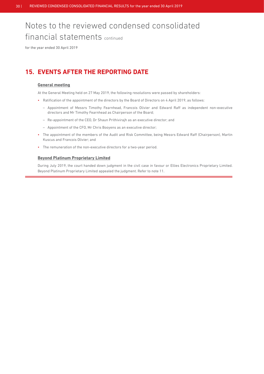for the year ended 30 April 2019

### **15. EVENTS AFTER THE REPORTING DATE**

### **General meeting**

At the General Meeting held on 27 May 2019, the following resolutions were passed by shareholders:

- Ratification of the appointment of the directors by the Board of Directors on 4 April 2019, as follows:
	- Appointment of Messrs Timothy Fearnhead, Francois Olivier and Edward Raff as independent non-executive directors and Mr Timothy Fearnhead as Chairperson of the Board;
	- Re-appointment of the CEO, Dr Shaun Prithivirajh as an executive director; and
	- Appointment of the CFO, Mr Chris Booyens as an executive director;
- The appointment of the members of the Audit and Risk Committee, being Messrs Edward Raff (Chairperson), Martin Kuscus and Francois Olivier; and
- The remuneration of the non-executive directors for a two-year period.

### **Beyond Platinum Proprietary Limited**

 During July 2019, the court handed down judgment in the civil case in favour or Ellies Electronics Proprietary Limited. Beyond Platinum Proprietary Limited appealed the judgment. Refer to note 11.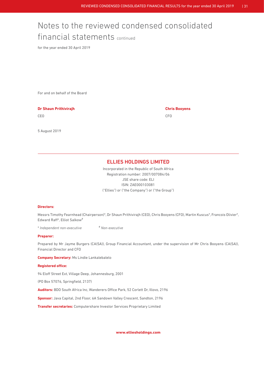for the year ended 30 April 2019

For and on behalf of the Board

### **Dr Shaun Prithivirajh Chris Booyens**

CEO CEO CONTENTA E A CONSTANTINO DE CONSTANTE E A CONSTANTE E A CONSTANTE E CONSTANTE E CONSTANTE E CONTENER A

5 August 2019

### ELLIES HOLDINGS LIMITED

Incorporated in the Republic of South Africa Registration number: 2007/007084/06 JSE share code: ELI ISIN: ZAE000103081 ("Ellies") or ("the Company") or ("the Group")

#### **Directors:**

Messrs Timothy Fearnhead (Chairperson)\*, Dr Shaun Prithivirajh (CEO), Chris Booyens (CFO), Martin Kuscus\*, Francois Olivier\*, Edward Raff\*, Elliot Salkow#

\* *Independent non-executive* # *Non-executive*

#### **Preparer:**

Prepared by Mr Jayme Burgers (CA(SA)), Group Financial Accountant, under the supervision of Mr Chris Booyens (CA(SA)), Financial Director and CFO

**Company Secretary:** Ms Lindie Lankalebalelo

#### **Registered office:**

94 Eloff Street Ext, Village Deep, Johannesburg, 2001

(PO Box 57076, Springfield, 2137)

**Auditors:** BDO South Africa Inc, Wanderers Office Park, 52 Corlett Dr, Illovo, 2196

**Sponsor:** Java Capital, 2nd Floor, 6A Sandown Valley Crescent, Sandton, 2196

**Transfer secretaries:** Computershare Investor Services Proprietary Limited

**www.elliesholdings.com**